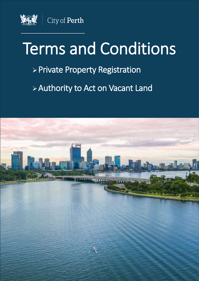

# Terms and Conditions

### ➢Private Property Registration

## ➢Authority to Act on Vacant Land

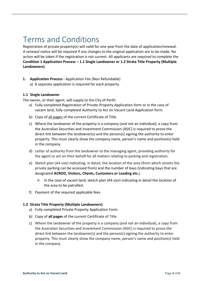### Terms and Conditions

Registration of private property(s) will valid for one year from the date of application/renewal. A renewal notice will be required if any changes to the original application are to be made. No action will be taken if the registration is not current. All applicants are required to complete the **Condition 1 Application Process – 1.1 Single Landowner or 1.2 Strata Title Property (Multiple Landowners)**.

- **1. Application Process -** Application Fee (Non Refundable)
	- a) A separate application is required for each property.

#### **1.1 Single Landowner**

The owner, or their agent, will supply to the City of Perth:

- a) Fully completed Registration of Private Property Application form or in the case of vacant land, fully completed Authority to Act on Vacant Land Application form.
- b) Copy of all pages of the current Certificate of Title.
- c) Where the landowner of the property is a company (and not an individual), a copy from the Australian Securities and Investment Commission (ASIC) is required to prove the direct link between the landowner(s) and the person(s) signing the authority to enter property. This must clearly show the company name, person's name and position(s) held in the company.
- d) Letter of authority from the landowner to the managing agent, providing authority for the agent to act on their behalf for all matters relating to parking and registration.
- e) Sketch plan (A4 size) indicating, in detail, the location of the area (from which streets the private parking can be accessed from) and the number of bays (indicating bays that are designated **ACROD, Visitors, Clients, Customers or Loading etc.**).
	- $\triangleright$  In the case of vacant land, sketch plan (A4 size) indicating in detail the location of the area to be patrolled.
- f) Payment of the required applicable fees.

#### **1.2 Strata Title Property (Multiple Landowners)**

- a) Fully completed Private Property Application Form.
- b) Copy of **all pages** of the current Certificate of Title.
- c) Where the landowner of the property is a company (and not an individual), a copy from the Australian Securities and Investment Commission (ASIC) is required to prove the direct link between the landowner(s) and the person(s) signing the authority to enter property. This must clearly show the company name, person's name and position(s) held in the company.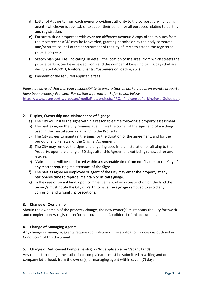- d) Letter of Authority from **each owner** providing authority to the corporation/managing agent, (whichever is applicable) to act on their behalf for all purposes relating to parking and registration.
- e) For strata titled properties with **over ten different owners**: A copy of the minutes from the most recent AGM may be forwarded, granting permission by the body corporate and/or strata council of the appointment of the City of Perth to attend the registered private property.
- f) Sketch plan (A4 size) indicating, in detail, the location of the area (from which streets the private parking can be accessed from) and the number of bays (indicating bays that are designated **ACROD, Visitors, Clients, Customers or Loading** etc.).
- g) Payment of the required applicable fees.

*Please be advised that it is your responsibility to ensure that all parking bays on private property have been properly licensed. For further information Refer to link below.*  [https://www.transport.wa.gov.au/mediaFiles/projects/PROJ\\_P\\_LicensedParkingPerthGuide.pdf](https://www.transport.wa.gov.au/mediaFiles/projects/PROJ_P_LicensedParkingPerthGuide.pdf)*.* 

#### **2. Display, Ownership and Maintenance of Signage**

- a) The City will install the signs within a reasonable time following a property assessment.
- b) The parties agree the City remains at all times the owner of the signs and of anything used in their installation or affixing to the Property.
- c) The City agrees to maintain the signs for the duration of the agreement, and for the period of any Renewal of the Original Agreement.
- d) The City may remove the signs and anything used in the installation or affixing to the Property, upon the expiry of 30 days after this Agreement not being renewed for any reason.
- e) Maintenance will be conducted within a reasonable time from notification to the City of any matter requiring maintenance of the Signs.
- f) The parties agree an employee or agent of the City may enter the property at any reasonable time to replace, maintain or install signage.
- g) In the case of vacant land, upon commencement of any construction on the land the owner/s must notify the City of Perth to have the signage removed to avoid any confusion and wrongful prosecutions.

#### **3. Change of Ownership**

Should the ownership of the property change, the new owner(s) must notify the City forthwith and complete a new registration form as outlined in Condition 1 of this document.

#### **4. Change of Managing Agents**

Any change in managing agents requires completion of the application process as outlined in Condition 1 of this document.

#### **5. Change of Authorised Complainant(s) - (Not applicable for Vacant Land)**

Any request to change the authorised complainants must be submitted in writing and on company letterhead, from the owner(s) or managing agent within seven (7) days.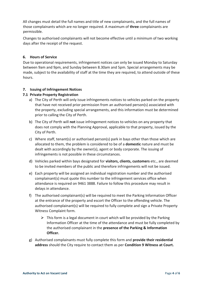All changes must detail the full names and title of new complainants, and the full names of those complainants which are no longer required. A maximum of **three** complainants are permissible.

Changes to authorised complainants will not become effective until a minimum of two working days after the receipt of the request.

#### **6. Hours of Service**

Due to operational requirements, infringement notices can only be issued Monday to Saturday between 9am and 9pm, and Sunday between 8.30am and 5pm. Special arrangements may be made, subject to the availability of staff at the time they are required, to attend outside of these hours.

#### **7. Issuing of Infringement Notices**

#### **7.1 Private Property Registration**

- a) The City of Perth will only issue infringements notices to vehicles parked on the property that have not received prior permission from an authorised person(s) associated with the property, excluding special arrangements, and this information must be determined prior to calling the City of Perth.
- b) The City of Perth will **not** issue infringement notices to vehicles on any property that does not comply with the Planning Approval, applicable to that property, issued by the City of Perth.
- c) Where staff, tenant(s) or authorised person(s) park in bays other than those which are allocated to them, the problem is considered to be of a **domestic** nature and must be dealt with accordingly by the owner(s), agent or body corporate. The issuing of infringements is not possible in these circumstances.
- d) Vehicles parked within bays designated for **visitors, clients, customers** etc., are deemed to be invited members of the public and therefore infringements will not be issued.
- e) Each property will be assigned an individual registration number and the authorised complainant(s) must quote this number to the infringement services office when attendance is required on 9461 3888. Failure to follow this procedure may result in delays in attendance.
- f) The authorised complainant(s) will be required to meet the Parking Information Officer at the entrance of the property and escort the Officer to the offending vehicle. The authorised complainant(s) will be required to fully complete and sign a Private Property Witness Complaint form.
	- $\triangleright$  This form is a legal document in court which will be provided by the Parking Information Officer at the time of the attendance and must be fully completed by the authorised complainant in the **presence of the Parking & Information Officer.**
- g) Authorised complainants must fully complete this form and **provide their residential address** should the City require to contact them as per **Condition 9 Witness at Court.**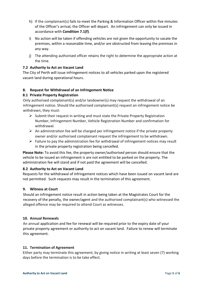- h) If the complainant(s) fails to meet the Parking & Information Officer within five minutes of the Officer's arrival, the Officer will depart. An infringement can only be issued in accordance with **Condition 7.1(f)**.
- i) No action will be taken if offending vehicles are not given the opportunity to vacate the premises, within a reasonable time, and/or are obstructed from leaving the premises in any way.
- j) The attending authorised officer retains the right to determine the appropriate action at the time.

#### **7.2 Authority to Act on Vacant Land**

The City of Perth will issue infringement notices to all vehicles parked upon the registered vacant land during operational hours.

#### **8. Request for Withdrawal of an Infringement Notice**

#### **8.1 Private Property Registration**

Only authorised complainant(s) and/or landowner(s) may request the withdrawal of an infringement notice. Should the authorised complainant(s) request an infringement notice be withdrawn, they must:

- $\triangleright$  Submit their request in writing and must state the Private Property Registration Number, Infringement Number, Vehicle Registration Number and confirmation for withdrawal.
- $\triangleright$  An administration fee will be charged per infringement notice if the private property owner and/or authorised complainant request the infringement to be withdrawn.
- $\triangleright$  Failure to pay the administration fee for withdrawal of infringement notices may result in the private property registration being cancelled.

**Please Note:** To avoid this fee, the property owner/authorised person should ensure that the vehicle to be issued an infringement is are not entitled to be parked on the property. The administration fee will stand and if not paid the agreement will be cancelled.

#### **8.2 Authority to Act on Vacant Land**

Requests for the withdrawal of infringement notices which have been issued on vacant land are not permitted. Such requests may result in the termination of this agreement.

#### **9. Witness at Court**

Should an infringement notice result in action being taken at the Magistrates Court for the recovery of the penalty, the owner/agent and the authorised complainant(s) who witnessed the alleged offence may be required to attend Court as witnesses.

#### **10. Annual Renewals**

An annual application and fee for renewal will be required prior to the expiry date of your private property agreement or authority to act on vacant land. Failure to renew will terminate this agreement.

#### **11. Termination of Agreement**

Either party may terminate this agreement; by giving notice in writing at least seven (7) working days before the termination is to be take effect.